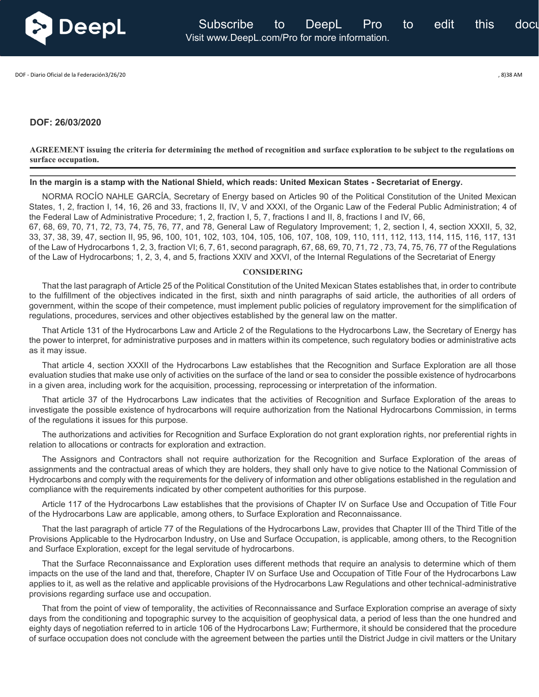

DOF - Diario Oficial de la Federación3/26/20 , 8)38 AM

## **DOF: 26/03/2020**

**AGREEMENT issuing the criteria for determining the method of recognition and surface exploration to be subject to the regulations on surface occupation.**

**In the margin is a stamp with the National Shield, which reads: United Mexican States - Secretariat of Energy.**

NORMA ROCÍO NAHLE GARCÍA, Secretary of Energy based on Articles 90 of the Political Constitution of the United Mexican States, 1, 2, fraction I, 14, 16, 26 and 33, fractions II, IV, V and XXXI, of the Organic Law of the Federal Public Administration; 4 of the Federal Law of Administrative Procedure; 1, 2, fraction I, 5, 7, fractions I and II, 8, fractions I and IV, 66, 67, 68, 69, 70, 71, 72, 73, 74, 75, 76, 77, and 78, General Law of Regulatory Improvement; 1, 2, section I, 4, section XXXII, 5, 32,

33, 37, 38, 39, 47, section II, 95, 96, 100, 101, 102, 103, 104, 105, 106, 107, 108, 109, 110, 111, 112, 113, 114, 115, 116, 117, 131 of the Law of Hydrocarbons 1, 2, 3, fraction VI; 6, 7, 61, second paragraph, 67, 68, 69, 70, 71, 72 , 73, 74, 75, 76, 77 of the Regulations of the Law of Hydrocarbons; 1, 2, 3, 4, and 5, fractions XXIV and XXVI, of the Internal Regulations of the Secretariat of Energy

## **CONSIDERING**

That the last paragraph of Article 25 of the Political Constitution of the United Mexican States establishes that, in order to contribute to the fulfillment of the objectives indicated in the first, sixth and ninth paragraphs of said article, the authorities of all orders of government, within the scope of their competence, must implement public policies of regulatory improvement for the simplification of regulations, procedures, services and other objectives established by the general law on the matter.

That Article 131 of the Hydrocarbons Law and Article 2 of the Regulations to the Hydrocarbons Law, the Secretary of Energy has the power to interpret, for administrative purposes and in matters within its competence, such regulatory bodies or administrative acts as it may issue.

That article 4, section XXXII of the Hydrocarbons Law establishes that the Recognition and Surface Exploration are all those evaluation studies that make use only of activities on the surface of the land or sea to consider the possible existence of hydrocarbons in a given area, including work for the acquisition, processing, reprocessing or interpretation of the information.

That article 37 of the Hydrocarbons Law indicates that the activities of Recognition and Surface Exploration of the areas to investigate the possible existence of hydrocarbons will require authorization from the National Hydrocarbons Commission, in terms of the regulations it issues for this purpose.

The authorizations and activities for Recognition and Surface Exploration do not grant exploration rights, nor preferential rights in relation to allocations or contracts for exploration and extraction.

The Assignors and Contractors shall not require authorization for the Recognition and Surface Exploration of the areas of assignments and the contractual areas of which they are holders, they shall only have to give notice to the National Commission of Hydrocarbons and comply with the requirements for the delivery of information and other obligations established in the regulation and compliance with the requirements indicated by other competent authorities for this purpose.

Article 117 of the Hydrocarbons Law establishes that the provisions of Chapter IV on Surface Use and Occupation of Title Four of the Hydrocarbons Law are applicable, among others, to Surface Exploration and Reconnaissance.

That the last paragraph of article 77 of the Regulations of the Hydrocarbons Law, provides that Chapter III of the Third Title of the Provisions Applicable to the Hydrocarbon Industry, on Use and Surface Occupation, is applicable, among others, to the Recognition and Surface Exploration, except for the legal servitude of hydrocarbons.

That the Surface Reconnaissance and Exploration uses different methods that require an analysis to determine which of them impacts on the use of the land and that, therefore, Chapter IV on Surface Use and Occupation of Title Four of the Hydrocarbons Law applies to it, as well as the relative and applicable provisions of the Hydrocarbons Law Regulations and other technical-administrative provisions regarding surface use and occupation.

That from the point of view of temporality, the activities of Reconnaissance and Surface Exploration comprise an average of sixty days from the conditioning and topographic survey to the acquisition of geophysical data, a period of less than the one hundred and eighty days of negotiation referred to in article 106 of the Hydrocarbons Law; Furthermore, it should be considered that the procedure of surface occupation does not conclude with the agreement between the parties until the District Judge in civil matters or the Unitary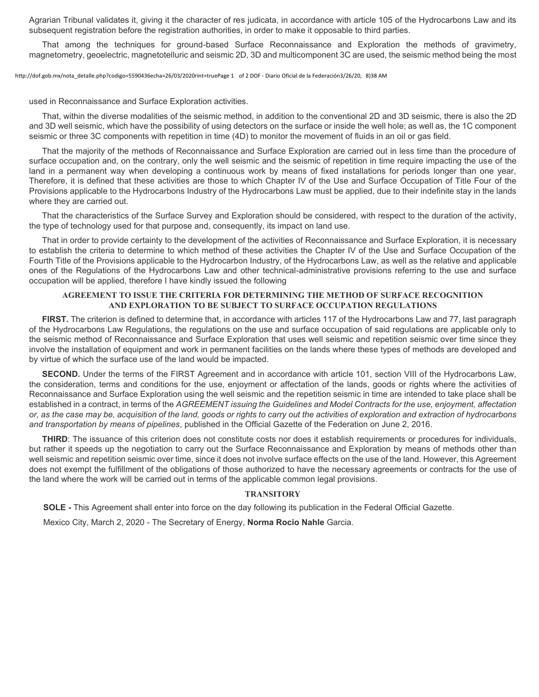Agrarian Tribunal validates it, giving it the character of res judicata, in accordance with article 105 of the Hydrocarbons Law and its subsequent registration before the registration authorities, in order to make it opposable to third parties.

That among the techniques for ground-based Surface Reconnaissance and Exploration the methods of gravimetry, magnetometry, geoelectric, magnetotelluric and seismic 2D, 3D and multicomponent 3C are used, the seismic method being the most

http://dof.gob.mx/nota\_detalle.php?codigo=5590436echa=26/03/2020rint=truePage 1 of 2 DOF - Diario Oficial de la Federación3/26/20, 8)38 AM

used in Reconnaissance and Surface Exploration activities.

That, within the diverse modalities of the seismic method, in addition to the conventional 2D and 3D seismic, there is also the 2D and 3D well seismic, which have the possibility of using detectors on the surface or inside the well hole; as well as, the 1C component seismic or three 3C components with repetition in time (4D) to monitor the movement of fluids in an oil or gas field.

That the majority of the methods of Reconnaissance and Surface Exploration are carried out in less time than the procedure of surface occupation and, on the contrary, only the well seismic and the seismic of repetition in time require impacting the use of the land in a permanent way when developing a continuous work by means of fixed installations for periods longer than one year, Therefore, it is defined that these activities are those to which Chapter IV of the Use and Surface Occupation of Title Four of the Provisions applicable to the Hydrocarbons Industry of the Hydrocarbons Law must be applied, due to their indefinite stay in the lands where they are carried out.

That the characteristics of the Surface Survey and Exploration should be considered, with respect to the duration of the activity, the type of technology used for that purpose and, consequently, its impact on land use.

That in order to provide certainty to the development of the activities of Reconnaissance and Surface Exploration, it is necessary to establish the criteria to determine to which method of these activities the Chapter IV of the Use and Surface Occupation of the Fourth Title of the Provisions applicable to the Hydrocarbon Industry, of the Hydrocarbons Law, as well as the relative and applicable ones of the Regulations of the Hydrocarbons Law and other technical-administrative provisions referring to the use and surface occupation will be applied, therefore I have kindly issued the following

## **AGREEMENT TO ISSUE THE CRITERIA FOR DETERMINING THE METHOD OF SURFACE RECOGNITION AND EXPLORATION TO BE SUBJECT TO SURFACE OCCUPATION REGULATIONS**

**FIRST.** The criterion is defined to determine that, in accordance with articles 117 of the Hydrocarbons Law and 77, last paragraph of the Hydrocarbons Law Regulations, the regulations on the use and surface occupation of said regulations are applicable only to the seismic method of Reconnaissance and Surface Exploration that uses well seismic and repetition seismic over time since they involve the installation of equipment and work in permanent facilities on the lands where these types of methods are developed and by virtue of which the surface use of the land would be impacted.

**SECOND.** Under the terms of the FIRST Agreement and in accordance with article 101, section VIII of the Hydrocarbons Law, the consideration, terms and conditions for the use, enjoyment or affectation of the lands, goods or rights where the activities of Reconnaissance and Surface Exploration using the well seismic and the repetition seismic in time are intended to take place shall be established in a contract, in terms of the *AGREEMENT issuing the Guidelines and Model Contracts for the use, enjoyment, affectation or, as the case may be, acquisition of the land, goods or rights to carry out the activities of exploration and extraction of hydrocarbons and transportation by means of pipelines*, published in the Official Gazette of the Federation on June 2, 2016.

**THIRD**: The issuance of this criterion does not constitute costs nor does it establish requirements or procedures for individuals, but rather it speeds up the negotiation to carry out the Surface Reconnaissance and Exploration by means of methods other than well seismic and repetition seismic over time, since it does not involve surface effects on the use of the land. However, this Agreement does not exempt the fulfillment of the obligations of those authorized to have the necessary agreements or contracts for the use of the land where the work will be carried out in terms of the applicable common legal provisions.

## **TRANSITORY**

**SOLE -** This Agreement shall enter into force on the day following its publication in the Federal Official Gazette.

Mexico City, March 2, 2020 - The Secretary of Energy, **Norma Rocio Nahle** Garcia.